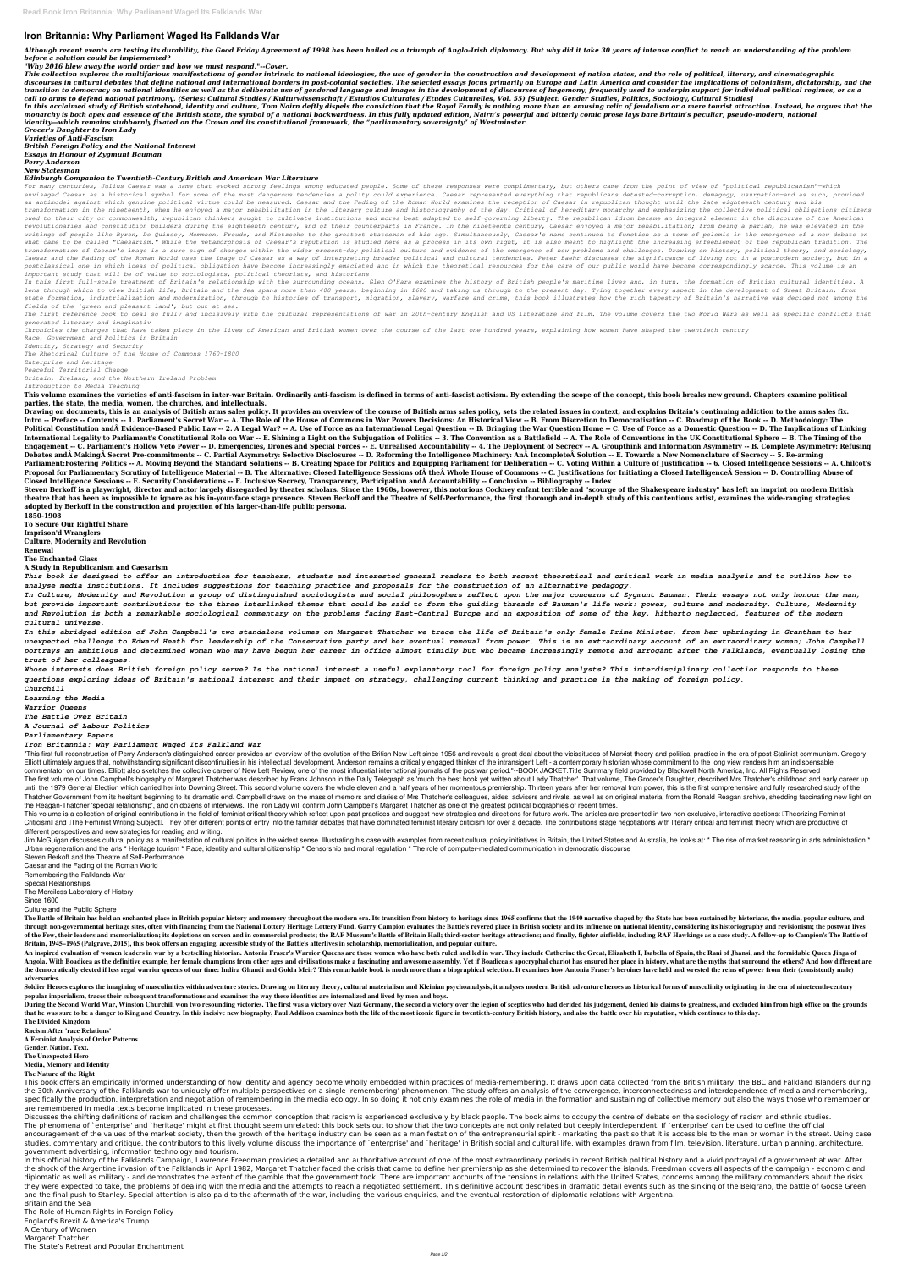## **Iron Britannia: Why Parliament Waged Its Falklands War**

Although recent events are testing its durability, the Good Friday Agreement of 1998 has been hailed as a triumph of Anglo-Irish diplomacy. But why did it take 30 years of intense conflict to reach an understanding of the *before a solution could be implemented?*

*"Why 2016 blew away the world order and how we must respond."--Cover.*

This collection explores the multifarious manifestations of gender intrinsic to national ideologies, the use of gender in the construction and development of nation states, and the role of political, literary, and cinemato discourses in cultural debates that define national and international borders in post-colonial societies. The selected essays focus primarily on Europe and Latin America and consider the implications of colonialism, dictat transition to democracy on national identities as well as the deliberate use of gendered language and images in the development of discourses of hegemony, frequently used to underpin support for individual political regime *call to arms to defend national patrimony. (Series: Cultural Studies / Kulturwissenschaft / Estudios Culturales / Etudes Culturelles, Vol. 55) [Subject: Gender Studies, Politics, Sociology, Cultural Studies]* In this acclaimed study of British statehood, identity and culture, Tom Nairn deftly dispels the conviction that the Royal Family is nothing more than an amusing relic of feudalism or a mere tourist attraction. Instead, he monarchy is both apex and essence of the British state, the symbol of a national backwardness. In this fully updated edition, Nairn's powerful and bitterly comic prose lays bare Britain's peculiar, pseudo-modern, national *identity—which remains stubbornly fixated on the Crown and its constitutional framework, the "parliamentary sovereignty" of Westminster. Grocer's Daughter to Iron Lady Varieties of Anti-Fascism British Foreign Policy and the National Interest*

*Essays in Honour of Zygmunt Bauman*

*Perry Anderson*

*New Statesman*

## *Edinburgh Companion to Twentieth-Century British and American War Literature*

In this first full-scale treatment of Britain's relationship with the surrounding oceans, Glen O'Hara examines the history of British people's maritime lives and, in turn, the formation of British cultural identities. A *lens through which to view British life, Britain and the Sea spans more than 400 years, beginning in 1600 and taking us through to the present day. Tying together every aspect in the development of Great Britain, from* state formation, industrialization and modernization, through to histories of transport, migration, slavery, warfare and crime, this book illustrates how the rich tapestry of Britain's narrative was decided not among the *fields of the 'green and pleasant land', but out at sea.*

The first reference book to deal so fully and incisively with the cultural representations of war in 20th-century English and US literature and film. The volume covers the two World Wars as well as specific conflicts that *generated literary and imaginativ*

This volume examines the varieties of anti-fascism in inter-war Britain. Ordinarily anti-fascism is defined in terms of anti-fascist activism. By extending the scope of the concept, this book breaks new ground. Chapters ex **parties, the state, the media, women, the churches, and intellectuals.**

Drawing on documents, this is an analysis of British arms sales policy. It provides an overview of the course of British arms sales policy, sets the related issues in context, and explains Britain's continuing addiction to Intro -- Preface -- Contents -- 1. Parliament's Secret War -- A. The Role of the House of Commons in War Powers Decisions: An Historical View -- B. From Discretion to Democratisation -- C. Roadmap of the Book -- D. Methodo Political Constitution and Evidence-Based Public Law -- 2. A Legal War? -- A. Use of Force as an International Legal Question -- B. Bringing the War Question Home -- C. Use of Force as a Domestic Question -- D. The Implic International Legality to Parliament's Constitutional Role on War -- E. Shining a Light on the Subjugation of Politics -- 3. The Convention as a Battlefield -- A. The Role of Conventions in the UK Constitutional Sphere -- Engagement -- C. Parliament's Hollow Veto Power -- D. Emergencies, Drones and Special Forces -- E. Unrealised Accountability -- 4. The Deployment of Secrecy -- A. Groupthink and Information Asymmetry -- B. Complete Asymmet Debates and AMaking ASecret Pre-commitments -- C. Partial Asymmetry: Selective Disclosures -- D. Reforming the Intelligence Machinery: An AIncomplete ASolution -- E. Towards a New Nomenclature of Secrecy -- 5. Re-arming Parliament:Fostering Politics -- A. Moving Beyond the Standard Solutions -- B. Creating Space for Politics and Equipping Parliament for Deliberation -- C. Voting Within a Culture of Justification -- 6. Closed Intelligence Proposal for Parliamentary Scrutiny of Intelligence Material -- B. The Alternative: Closed Intelligence Sessions of the Whole House of Commons -- C. Iustifications for Initiating a Closed Intelligence Session -- D. Cont

*For many centuries, Julius Caesar was a name that evoked strong feelings among educated people. Some of these responses were complimentary, but others came from the point of view of "political republicanism"—which* envisaged Caesar as a historical symbol for some of the most dangerous tendencies a polity could experience. Caesar represented everything that republicans detested-corruption, demagogy, usurpation-and as such, provided *an antimodel against which genuine political virtue could be measured. Caesar and the Fading of the Roman World examines the reception of Caesar in republican thought until the late eighteenth century and his* transformation in the nineteenth, when he enjoyed a major rehabilitation in the literary culture and historiography of the day. Critical of hereditary monarchy and emphasizing the collective political obligations citizens owed to their city or commonwealth, republican thinkers sought to cultivate institutions and mores best adapted to self-governing liberty. The republican idiom became an integral element in the discourse of the American revolutionaries and constitution builders during the eighteenth century, and of their counterparts in France. In the nineteenth century, Caesar enjoyed a major rehabilitation; from being a pariah, he was elevated in the writings of people like Byron, De Quincey, Mommsen, Froude, and Nietzsche to the greatest statesman of his age. Simultaneously, Caesar's name continued to function as a term of polemic in the emergence of a new debate on what came to be called "Caesarism." While the metamorphosis of Caesar's reputation is studied here as a process in its own right, it is also meant to highlight the increasing enfeeblement of the republican tradition. The transformation of Caesar's image is a sure sign of changes within the wider present-day political culture and evidence of the emergence of new problems and challenges. Drawing on history, political theory, and sociology, Caesar and the Fading of the Roman World uses the image of Caesar as a way of interpreting broader political and cultural tendencies. Peter Baehr discusses the significance of living not in a postmodern society, but in a *postclassical one in which ideas of political obligation have become increasingly emaciated and in which the theoretical resources for the care of our public world have become correspondingly scarce. This volume is an important study that will be of value to sociologists, political theorists, and historians.*

Steven Berkoff is a playwright, director and actor largely disregarded by theater scholars. Since the 1960s, however, this notorious Cockney enfant terrible and "scourge of the Shakespeare industry" has left an imprint on theatre that has been as impossible to ignore as his in-your-face stage presence. Steven Berkoff and the Theatre of Self-Performance, the first thorough and in-depth study of this contentious artist, examines the wide-rang **adopted by Berkoff in the construction and projection of his larger-than-life public persona.**

*Chronicles the changes that have taken place in the lives of American and British women over the course of the last one hundred years, explaining how women have shaped the twentieth century*

*Race, Government and Politics in Britain Identity, Strategy and Security The Rhetorical Culture of the House of Commons 1760-1800 Enterprise and Heritage Peaceful Territorial Change Britain, Ireland, and the Northern Ireland Problem Introduction to Media Teaching*

"This first full reconstruction of Perry Anderson's distinguished career provides an overview of the evolution of the British New Left since 1956 and reveals a great deal about the vicissitudes of Marxist theory and politi Elliott ultimately arques that. notwithstanding significant discontinuities in his intellectual development. Anderson remains a critically engaged thinker of the intransigent Left - a contemporary historian whose commitmen commentator on our times. Elliott also sketches the collective career of New Left Review, one of the most influential international journals of the postwar period."--BOOK JACKET. Title Summary field provided by Blackwell N The first volume of John Campbell's biography of Margaret Thatcher was described by Frank Johnson in the Daily Telegraph as 'much the best book yet written about Lady Thatcher'. That volume, The Grocer's Daughter, describe until the 1979 General Election which carried her into Downing Street. This second volume covers the whole eleven and a half years of her momentous premiership. Thirteen years after her removal from power, this is the firs Thatcher Government from its hesitant beginning to its dramatic end. Campbell draws on the mass of memoirs and diaries of Mrs Thatcher's colleagues, aides, advisers and rivals, as well as on original material from the Rona the Reagan-Thatcher 'special relationship', and on dozens of interviews. The Iron Lady will confirm John Campbell's Margaret Thatcher as one of the greatest political biographies of recent times.

This volume is a collection of original contributions in the field of feminist critical theory which reflect upon past practices and suggest new strategies and directions for future work. The articles are presented in two Criticisml and IThe Feminist Writing Subiectl. They offer different points of entry into the familiar debates that have dominated feminist literary criticism for over a decade. The contributions stage negotiations with lit different perspectives and new strategies for reading and writing.

Jim McGuigan discusses cultural policy as a manifestation of cultural politics in the widest sense. Illustrating his case with examples from recent cultural policy initiatives in Britain, the United States and Australia, h Urban regeneration and the arts \* Heritage tourism \* Race, identity and cultural citizenship \* Censorship and moral regulation \* The role of computer-mediated communication in democratic discourse

The Battle of Britain has held an enchanted place in British popular history and memory throughout the modern era. Its transition from history to heritage since 1965 confirms that the 1940 narrative shaped by the State has through non-governmental heritage sites, often with financing from the National Lottery Heritage Lottery Heritage Lottery Fund. Garry Campion evaluates the Battle's revered place in British society and its influence on nat of the Few, their leaders and memorialization; its depictions on screen and in commercial products; the RAF Museum's Battle of Britain Hall; third-sector heritage attractions; and finally, fighter airfields, including RAF **Britain, 1945–1965 (Palgrave, 2015), this book offers an engaging, accessible study of the Battle's afterlives in scholarship, memorialization, and popular culture.**

An inspired evaluation of women leaders in war by a bestselling historian. Antonia Fraser's Warrior Queens are those women who have both ruled and led in war. They include Catherine the Great, Elizabeth I, Isabella of Spai

Angola. With Boadicea as the definitive example, her female champions from other ages and civilisations make a fascinating and awesome assembly. Yet if Boadicea's apocryphal chariot has ensured her place in history, what a the democratically elected if less regal warrior queens of our time: Indira Ghandi and Golda Meir? This remarkable book is much more than a biographical selection. It examines how Antonia Fraser's heroines have held and wr **adversaries.**

Soldier Heroes explores the imagining of masculinities within adventure stories. Drawing on literary theory, cultural materialism and Kleinian psychoanalysis, it analyses modern British adventure heroes as historical forms **popular imperialism, traces their subsequent transformations and examines the way these identities are internalized and lived by men and boys.**

During the Second World War, Winston Churchill won two resounding victories. The first was a victory over Nazi Germany, the second a victory over the legion of sceptics who had derided his judgement, denied his claims to g that he was sure to be a danger to King and Country. In this incisive new biography, Paul Addison examines both the life of the most iconic figure in twentieth-century British history, and also the battle over his reputati

**Closed Intelligence Sessions -- E. Security Considerations -- F. Inclusive Secrecy, Transparency, Participation and Accountability -- Conclusion -- Bibliography -- Index**

This book offers an empirically informed understanding of how identity and agency become wholly embedded within practices of media-remembering. It draws upon data collected from the British military, the BBC and Falkland I the 30th Anniversary of the Falklands war to uniquely offer multiple perspectives on a single 'remembering' phenomenon. The study offers an analysis of the convergence, interconnectedness and interdependence of media and r specifically the production, interpretation and negotiation of remembering in the media ecology. In so doing it not only examines the role of media in the formation and sustaining of collective memory but also the ways tho are remembered in media texts become implicated in these processes.

**1850-1908 To Secure Our Rightful Share Imprison'd Wranglers Culture, Modernity and Revolution Renewal**

**The Enchanted Glass**

**A Study in Republicanism and Caesarism**

*This book is designed to offer an introduction for teachers, students and interested general readers to both recent theoretical and critical work in media analysis and to outline how to analyse media institutions. It includes suggestions for teaching practice and proposals for the construction of an alternative pedagogy.*

Discusses the shifting definitions of racism and challenges the common conception that racism is experienced exclusively by black people. The book aims to occupy the centre of debate on the sociology of racism and ethnic s The phenomena of `enterprise' and `heritage' might at first thought seem unrelated: this book sets out to show that the two concepts are not only related but deeply interdependent. If `enterprise' can be used to define the encouragement of the values of the market society, then the growth of the heritage industry can be seen as a manifestation of the entrepreneurial spirit - marketing the past so that it is accessible to the man or woman in studies, commentary and critique, the contributors to this lively volume discuss the importance of `enterprise' and `heritage' in British social and cultural life, with examples drawn from film, television, literature, urb government advertising, information technology and tourism.

*In Culture, Modernity and Revolution a group of distinguished sociologists and social philosophers reflect upon the major concerns of Zygmunt Bauman. Their essays not only honour the man, but provide important contributions to the three interlinked themes that could be said to form the guiding threads of Bauman's life work: power, culture and modernity. Culture, Modernity and Revolution is both a remarkable sociological commentary on the problems facing East-Central Europe and an exposition of some of the key, hitherto neglected, features of the modern cultural universe.*

In this official history of the Falklands Campaign, Lawrence Freedman provides a detailed and authoritative account of one of the most extraordinary periods in recent British political history and a vivid portrayal of a go the shock of the Argentine invasion of the Falklands in April 1982, Margaret Thatcher faced the crisis that came to define her premiership as she determined to recover the islands. Freedman covers all aspects of the campai diplomatic as well as military - and demonstrates the extent of the gamble that the government took. There are important accounts of the tensions in relations with the United States, concerns among the military commanders they were expected to take, the problems of dealing with the media and the attempts to reach a negotiated settlement. This definitive account describes in dramatic detail events such as the sinking of the Belgrano, the bat and the final push to Stanley. Special attention is also paid to the aftermath of the war, including the various enquiries, and the eventual restoration of diplomatic relations with Argentina.

*In this abridged edition of John Campbell's two standalone volumes on Margaret Thatcher we trace the life of Britain's only female Prime Minister, from her upbringing in Grantham to her unexpected challenge to Edward Heath for leadership of the Conservative party and her eventual removal from power. This is an extraordinary account of an extraordinary woman; John Campbell portrays an ambitious and determined woman who may have begun her career in office almost timidly but who became increasingly remote and arrogant after the Falklands, eventually losing the trust of her colleagues.*

*Whose interests does British foreign policy serve? Is the national interest a useful explanatory tool for foreign policy analysts? This interdisciplinary collection responds to these questions exploring ideas of Britain's national interest and their impact on strategy, challenging current thinking and practice in the making of foreign policy. Churchill*

*Learning the Media*

*Warrior Queens*

*The Battle Over Britain*

*A Journal of Labour Politics*

*Parliamentary Papers*

*Iron Britannia: why Parliament Waged Its Falkland War*

Steven Berkoff and the Theatre of Self-Performance Caesar and the Fading of the Roman World Remembering the Falklands War Special Relationships The Merciless Laboratory of History Since 1600 Culture and the Public Sphere

**The Divided Kingdom**

**Racism After 'race Relations'**

**A Feminist Analysis of Order Patterns**

**Gender. Nation. Text.**

**The Unexpected Hero**

**Media, Memory and Identity**

## **The Nature of the Right**

Britain and the Sea

The Role of Human Rights in Foreign Policy

England's Brexit & America's Trump

A Century of Women

Margaret Thatcher

The State's Retreat and Popular Enchantment